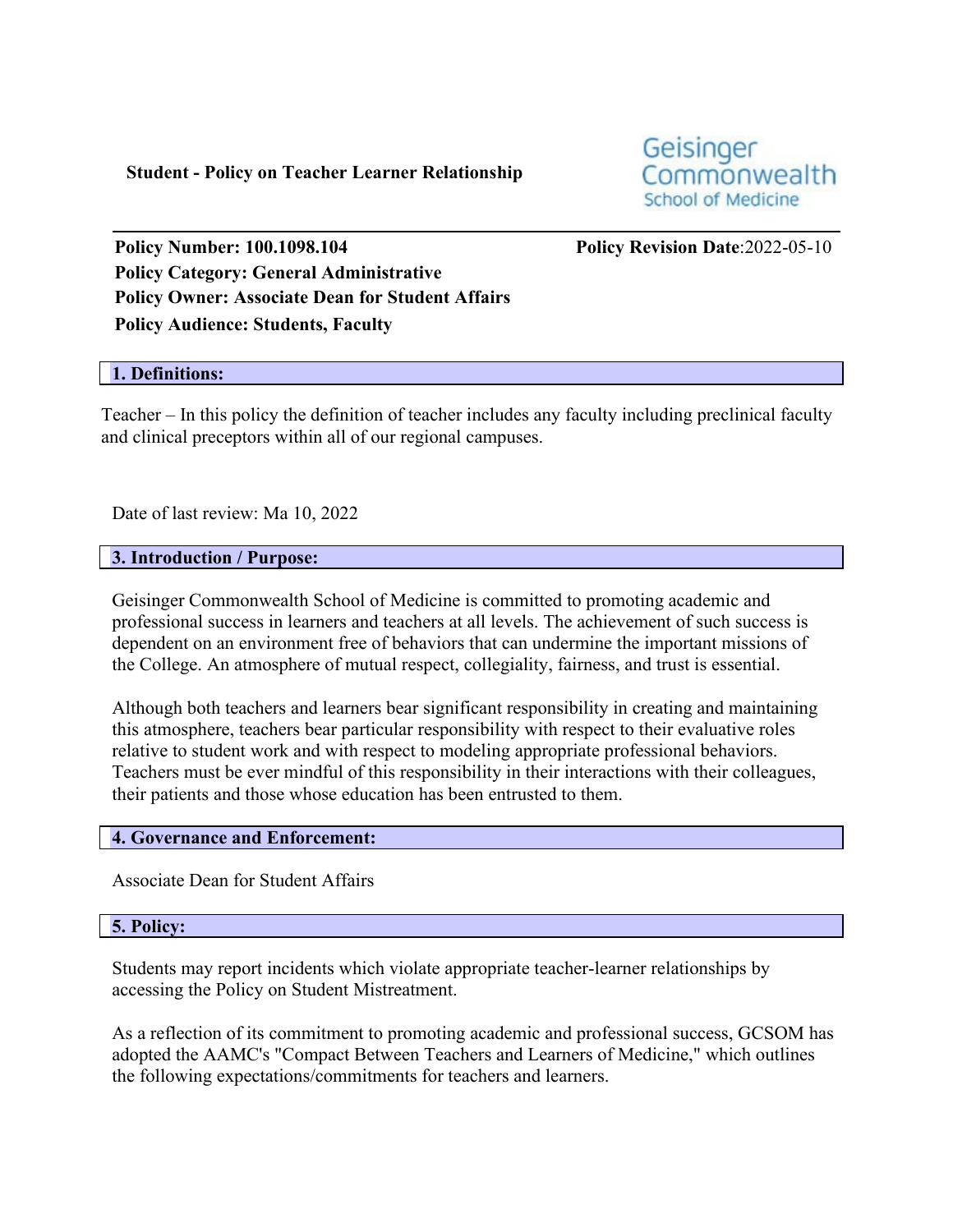**Student - Policy on Teacher Learner Relationship**

Geisinger Commonwealth **School of Medicine** 

**Policy Number: 100.1098.104 Policy Revision Date**:2022-05-10 **Policy Category: General Administrative Policy Owner: Associate Dean for Student Affairs Policy Audience: Students, Faculty**

## **1. Definitions:**

Teacher – In this policy the definition of teacher includes any faculty including preclinical faculty and clinical preceptors within all of our regional campuses.

Date of last review: Ma 10, 2022

## **3. Introduction / Purpose:**

Geisinger Commonwealth School of Medicine is committed to promoting academic and professional success in learners and teachers at all levels. The achievement of such success is dependent on an environment free of behaviors that can undermine the important missions of the College. An atmosphere of mutual respect, collegiality, fairness, and trust is essential.

Although both teachers and learners bear significant responsibility in creating and maintaining this atmosphere, teachers bear particular responsibility with respect to their evaluative roles relative to student work and with respect to modeling appropriate professional behaviors. Teachers must be ever mindful of this responsibility in their interactions with their colleagues, their patients and those whose education has been entrusted to them.

#### **4. Governance and Enforcement:**

Associate Dean for Student Affairs

#### **5. Policy:**

Students may report incidents which violate appropriate teacher-learner relationships by accessing the Policy on Student Mistreatment.

As a reflection of its commitment to promoting academic and professional success, GCSOM has adopted the AAMC's "Compact Between Teachers and Learners of Medicine," which outlines the following expectations/commitments for teachers and learners.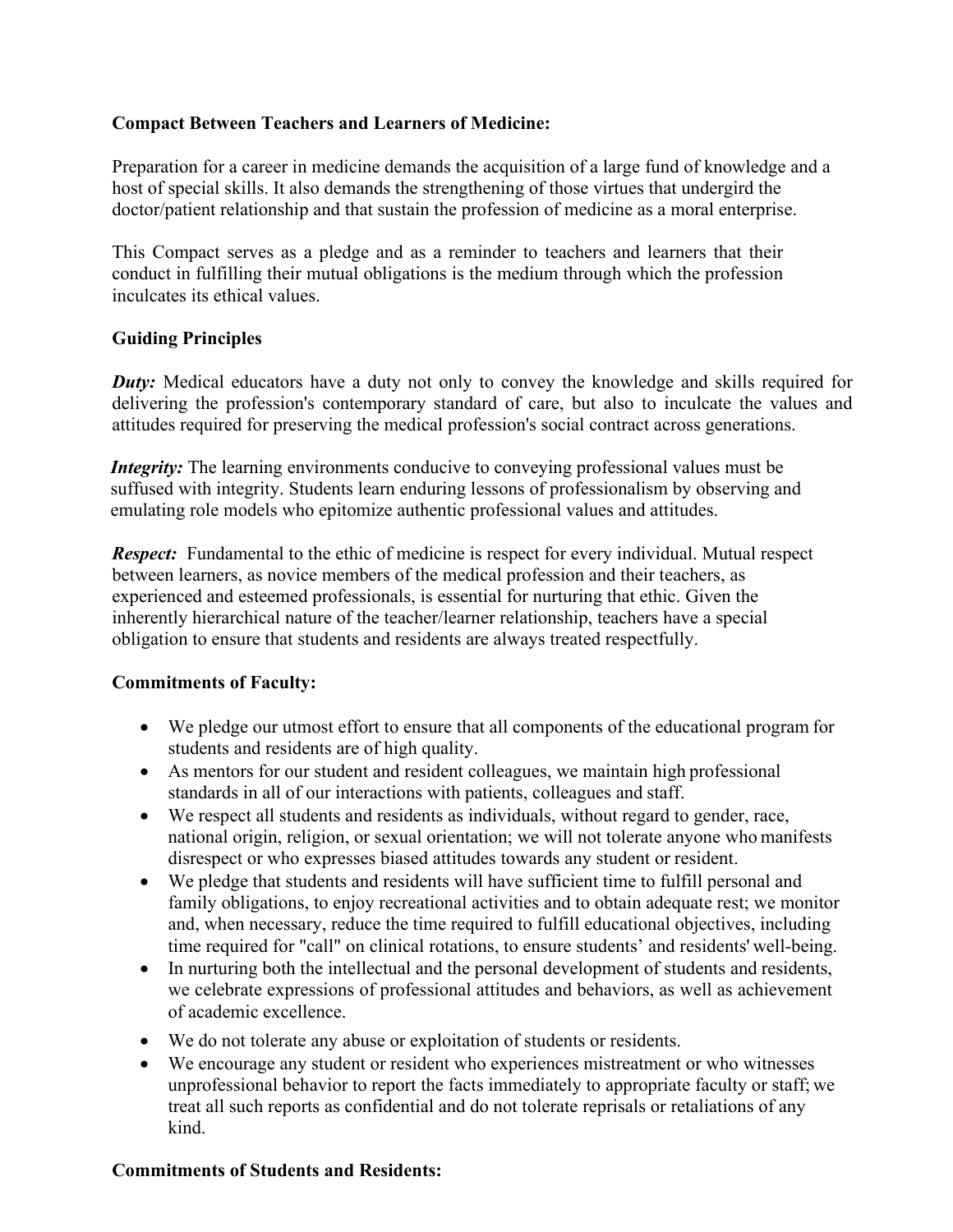# **Compact Between Teachers and Learners of Medicine:**

Preparation for a career in medicine demands the acquisition of a large fund of knowledge and a host of special skills. It also demands the strengthening of those virtues that undergird the doctor/patient relationship and that sustain the profession of medicine as a moral enterprise.

This Compact serves as a pledge and as a reminder to teachers and learners that their conduct in fulfilling their mutual obligations is the medium through which the profession inculcates its ethical values.

## **Guiding Principles**

*Duty:* Medical educators have a duty not only to convey the knowledge and skills required for delivering the profession's contemporary standard of care, but also to inculcate the values and attitudes required for preserving the medical profession's social contract across generations.

*Integrity:* The learning environments conducive to conveying professional values must be suffused with integrity. Students learn enduring lessons of professionalism by observing and emulating role models who epitomize authentic professional values and attitudes.

*Respect:* Fundamental to the ethic of medicine is respect for every individual. Mutual respect between learners, as novice members of the medical profession and their teachers, as experienced and esteemed professionals, is essential for nurturing that ethic. Given the inherently hierarchical nature of the teacher/learner relationship, teachers have a special obligation to ensure that students and residents are always treated respectfully.

## **Commitments of Faculty:**

- We pledge our utmost effort to ensure that all components of the educational program for students and residents are of high quality.
- As mentors for our student and resident colleagues, we maintain high professional standards in all of our interactions with patients, colleagues and staff.
- We respect all students and residents as individuals, without regard to gender, race, national origin, religion, or sexual orientation; we will not tolerate anyone who manifests disrespect or who expresses biased attitudes towards any student or resident.
- We pledge that students and residents will have sufficient time to fulfill personal and family obligations, to enjoy recreational activities and to obtain adequate rest; we monitor and, when necessary, reduce the time required to fulfill educational objectives, including time required for "call" on clinical rotations, to ensure students' and residents' well-being.
- In nurturing both the intellectual and the personal development of students and residents, we celebrate expressions of professional attitudes and behaviors, as well as achievement of academic excellence.
- We do not tolerate any abuse or exploitation of students or residents.
- We encourage any student or resident who experiences mistreatment or who witnesses unprofessional behavior to report the facts immediately to appropriate faculty or staff; we treat all such reports as confidential and do not tolerate reprisals or retaliations of any kind.

## **Commitments of Students and Residents:**